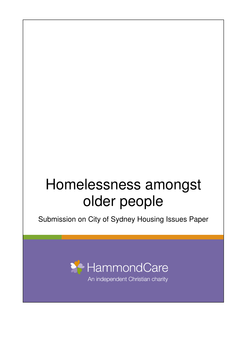# Homelessness amongst older people

Submission on City of Sydney Housing Issues Paper



An independent Christian charity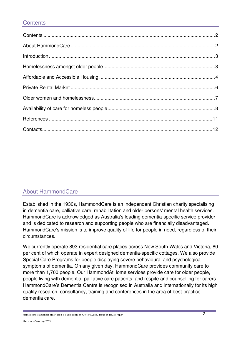# **Contents**

# About HammondCare

Established in the 1930s, HammondCare is an independent Christian charity specialising in dementia care, palliative care, rehabilitation and older persons' mental health services. HammondCare is acknowledged as Australia's leading dementia-specific service provider and is dedicated to research and supporting people who are financially disadvantaged. HammondCare's mission is to improve quality of life for people in need, regardless of their circumstances.

We currently operate 893 residential care places across New South Wales and Victoria, 80 per cent of which operate in expert designed dementia-specific cottages. We also provide Special Care Programs for people displaying severe behavioural and psychological symptoms of dementia. On any given day, HammondCare provides community care to more than 1,700 people. Our HammondAtHome services provide care for older people, people living with dementia, palliative care patients, and respite and counselling for carers. HammondCare's Dementia Centre is recognised in Australia and internationally for its high quality research, consultancy, training and conferences in the area of best-practice dementia care.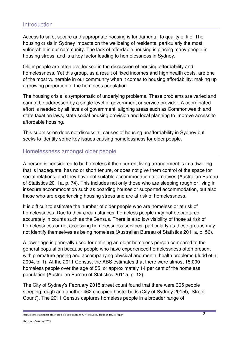## **Introduction**

Access to safe, secure and appropriate housing is fundamental to quality of life. The housing crisis in Sydney impacts on the wellbeing of residents, particularly the most vulnerable in our community. The lack of affordable housing is placing many people in housing stress, and is a key factor leading to homelessness in Sydney.

Older people are often overlooked in the discussion of housing affordability and homelessness. Yet this group, as a result of fixed incomes and high health costs, are one of the most vulnerable in our community when it comes to housing affordability, making up a growing proportion of the homeless population.

The housing crisis is symptomatic of underlying problems. These problems are varied and cannot be addressed by a single level of government or service provider. A coordinated effort is needed by all levels of government, aligning areas such as Commonwealth and state taxation laws, state social housing provision and local planning to improve access to affordable housing.

This submission does not discuss all causes of housing unaffordability in Sydney but seeks to identify some key issues causing homelessness for older people.

## Homelessness amongst older people

A person is considered to be homeless if their current living arrangement is in a dwelling that is inadequate, has no or short tenure, or does not give them control of the space for social relations, and they have not suitable accommodation alternatives (Australian Bureau of Statistics 2011a, p. 74). This includes not only those who are sleeping rough or living in insecure accommodation such as boarding houses or supported accommodation, but also those who are experiencing housing stress and are at risk of homelessness.

It is difficult to estimate the number of older people who are homeless or at risk of homelessness. Due to their circumstances, homeless people may not be captured accurately in counts such as the Census. There is also low visibility of those at risk of homelessness or not accessing homelessness services, particularly as these groups may not identify themselves as being homeless (Australian Bureau of Statistics 2011a, p. 56).

A lower age is generally used for defining an older homeless person compared to the general population because people who have experienced homelessness often present with premature ageing and accompanying physical and mental health problems (Judd et al 2004, p. 1). At the 2011 Census, the ABS estimates that there were almost 15,000 homeless people over the age of 55, or approximately 14 per cent of the homeless population (Australian Bureau of Statistics 2011a, p. 12).

The City of Sydney's February 2015 street count found that there were 365 people sleeping rough and another 462 occupied hostel beds (City of Sydney 2015b, 'Street Count'). The 2011 Census captures homeless people in a broader range of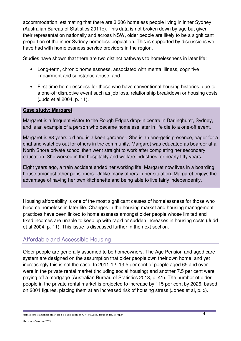accommodation, estimating that there are 3,306 homeless people living in inner Sydney (Australian Bureau of Statistics 2011b). This data is not broken down by age but given their representation nationally and across NSW, older people are likely to be a significant proportion of the inner Sydney homeless population. This is supported by discussions we have had with homelessness service providers in the region.

Studies have shown that there are two distinct pathways to homelessness in later life:

- Long-term, chronic homelessness, associated with mental illness, cognitive impairment and substance abuse; and
- First-time homelessness for those who have conventional housing histories, due to a one-off disruptive event such as job loss, relationship breakdown or housing costs (Judd et al 2004, p. 11).

#### **Case study: Margaret**

Margaret is a frequent visitor to the Rough Edges drop-in centre in Darlinghurst, Sydney, and is an example of a person who became homeless later in life die to a one-off event.

Margaret is 68 years old and is a keen gardener. She is an energetic presence, eager for a chat and watches out for others in the community. Margaret was educated as boarder at a North Shore private school then went straight to work after completing her secondary education. She worked in the hospitality and welfare industries for nearly fifty years.

Eight years ago, a train accident ended her working life. Margaret now lives in a boarding house amongst other pensioners. Unlike many others in her situation, Margaret enjoys the advantage of having her own kitchenette and being able to live fairly independently.

Housing affordability is one of the most significant causes of homelessness for those who become homeless in later life. Changes in the housing market and housing management practices have been linked to homelessness amongst older people whose limited and fixed incomes are unable to keep up with rapid or sudden increases in housing costs (Judd et al 2004, p. 11). This issue is discussed further in the next section.

## Affordable and Accessible Housing

Older people are generally assumed to be homeowners. The Age Pension and aged care system are designed on the assumption that older people own their own home, and yet increasingly this is not the case. In 2011-12, 13.5 per cent of people aged 65 and over were in the private rental market (including social housing) and another 7.5 per cent were paying off a mortgage (Australian Bureau of Statistics 2013, p. 41). The number of older people in the private rental market is projected to increase by 115 per cent by 2026, based on 2001 figures, placing them at an increased risk of housing stress (Jones et al, p. x).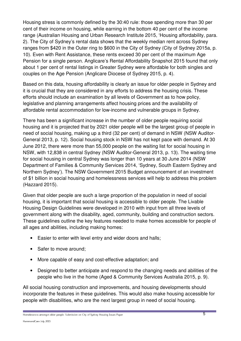Housing stress is commonly defined by the 30:40 rule: those spending more than 30 per cent of their income on housing, while earning in the bottom 40 per cent of the income range (Australian Housing and Urban Research Institute 2015, 'Housing affordability, para. 2). The City of Sydney's rental data shows that the weekly median rent across Sydney ranges from \$420 in the Outer ring to \$600 in the City of Sydney (City of Sydney 2015a, p. 10). Even with Rent Assistance, these rents exceed 30 per cent of the maximum Age Pension for a single person. Anglicare's Rental Affordability Snapshot 2015 found that only about 1 per cent of rental listings in Greater Sydney were affordable for both singles and couples on the Age Pension (Anglicare Diocese of Sydney 2015, p. 4).

Based on this data, housing affordability is clearly an issue for older people in Sydney and it is crucial that they are considered in any efforts to address the housing crisis. These efforts should include an examination by all levels of Government as to how policy, legislative and planning arrangements affect housing prices and the availability of affordable rental accommodation for low-income and vulnerable groups in Sydney.

There has been a significant increase in the number of older people requiring social housing and it is projected that by 2021 older people will be the largest group of people in need of social housing, making up a third (32 per cent) of demand in NSW (NSW Auditor-General 2013, p. 12). Social housing stock in NSW has not kept pace with demand. At 30 June 2012, there were more than 55,000 people on the waiting list for social housing in NSW, with 12,838 in central Sydney (NSW Auditor-General 2013, p. 13). The waiting time for social housing in central Sydney was longer than 10 years at 30 June 2014 (NSW Department of Families & Community Services 2014, 'Sydney, South Eastern Sydney and Northern Sydney'). The NSW Government 2015 Budget announcement of an investment of \$1 billion in social housing and homelessness services will help to address this problem (Hazzard 2015).

Given that older people are such a large proportion of the population in need of social housing, it is important that social housing is accessible to older people. The Livable Housing Design Guidelines were developed in 2010 with input from all three levels of government along with the disability, aged, community, building and construction sectors. These guidelines outline the key features needed to make homes accessible for people of all ages and abilities, including making homes:

- Easier to enter with level entry and wider doors and halls;
- Safer to move around:
- More capable of easy and cost-effective adaptation; and
- Designed to better anticipate and respond to the changing needs and abilities of the people who live in the home (Aged & Community Services Australia 2015, p. 9).

All social housing construction and improvements, and housing developments should incorporate the features in these guidelines. This would also make housing accessible for people with disabilities, who are the next largest group in need of social housing.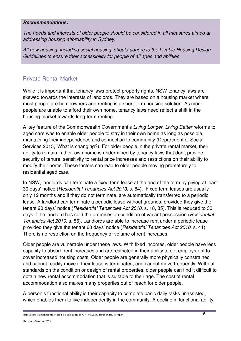#### **Recommendations:**

*The needs and interests of older people should be considered in all measures aimed at addressing housing affordability in Sydney.* 

*All new housing, including social housing, should adhere to the Livable Housing Design Guidelines to ensure their accessibility for people of all ages and abilities.* 

# Private Rental Market

While it is important that tenancy laws protect property rights, NSW tenancy laws are skewed towards the interests of landlords. They are based on a housing market where most people are homeowners and renting is a short-term housing solution. As more people are unable to afford their own home, tenancy laws need reflect a shift in the housing market towards long-term renting.

A key feature of the Commonwealth Government's *Living Longer, Living Better* reforms to aged care was to enable older people to stay in their own home as long as possible, maintaining their independence and connection to community (Department of Social Services 2015, 'What is changing?). For older people in the private rental market, their ability to remain in their own home is undermined by tenancy laws that don't provide security of tenure, sensitivity to rental price increases and restrictions on their ability to modify their home. These factors can lead to older people moving prematurely to residential aged care.

In NSW, landlords can terminate a fixed term lease at the end of the term by giving at least 30 days' notice (*Residential Tenancies Act 2010*, s. 84). Fixed term leases are usually only 12 months and if they do not terminate, are automatically transferred to a periodic lease. A landlord can terminate a periodic lease without grounds, provided they give the tenant 90 days' notice (*Residential Tenancies Act 2010*, s. 18, 85). This is reduced to 30 days if the landlord has sold the premises on condition of vacant possession (*Residential Tenancies Act 2010*, s. 86). Landlords are able to increase rent under a periodic lease provided they give the tenant 60 days' notice (*Residential Tenancies Act 2010*, s. 41). There is no restriction on the frequency or volume of rent increases.

Older people are vulnerable under these laws. With fixed incomes, older people have less capacity to absorb rent increases and are restricted in their ability to get employment to cover increased housing costs. Older people are generally more physically constrained and cannot readily move if their lease is terminated, and cannot move frequently. Without standards on the condition or design of rental properties, older people can find it difficult to obtain new rental accommodation that is suitable to their age. The cost of rental accommodation also makes many properties out of reach for older people.

A person's functional ability is their capacity to complete basic daily tasks unassisted, which enables them to live independently in the community. A decline in functional ability,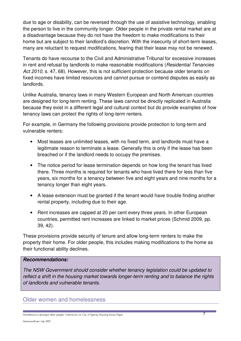due to age or disability, can be reversed through the use of assistive technology, enabling the person to live in the community longer. Older people in the private rental market are at a disadvantage because they do not have the freedom to make modifications to their home but are subject to their landlord's discretion. With the insecurity of short-term leases, many are reluctant to request modifications, fearing that their lease may not be renewed.

Tenants do have recourse to the Civil and Administrative Tribunal for excessive increases in rent and refusal by landlords to make reasonable modifications (*Residential Tenancies Act 2010*, s. 47, 68). However, this is not sufficient protection because older tenants on fixed incomes have limited resources and cannot pursue or contend disputes as easily as landlords.

Unlike Australia, tenancy laws in many Western European and North American countries are designed for long-term renting. These laws cannot be directly replicated in Australia because they exist in a different legal and cultural context but do provide examples of how tenancy laws can protect the rights of long-term renters.

For example, in Germany the following provisions provide protection to long-term and vulnerable renters:

- Most leases are unlimited leases, with no fixed term, and landlords must have a legitimate reason to terminate a lease. Generally this is only if the lease has been breached or if the landlord needs to occupy the premises.
- The notice period for lease termination depends on how long the tenant has lived there. Three months is required for tenants who have lived there for less than five years, six months for a tenancy between five and eight years and nine months for a tenancy longer than eight years.
- A lease extension must be granted if the tenant would have trouble finding another rental property, including due to their age.
- Rent increases are capped at 20 per cent every three years. In other European countries, permitted rent increases are linked to market prices (Schmid 2009, pp. 39, 42).

These provisions provide security of tenure and allow long-term renters to make the property their home. For older people, this includes making modifications to the home as their functional ability declines.

#### **Recommendations:**

*The NSW Government should consider whether tenancy legislation could be updated to reflect a shift in the housing market towards longer-term renting and to balance the rights of landlords and vulnerable tenants.* 

## Older women and homelessness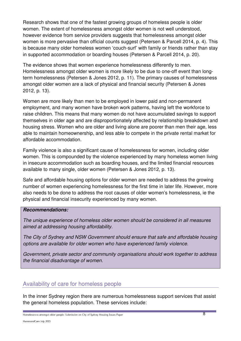Research shows that one of the fastest growing groups of homeless people is older women. The extent of homelessness amongst older women is not well understood, however evidence from service providers suggests that homelessness amongst older women is more pervasive than official counts suggest (Petersen & Parcell 2014, p. 4). This is because many older homeless women 'couch-surf' with family or friends rather than stay in supported accommodation or boarding houses (Petersen & Parcell 2014, p. 20).

The evidence shows that women experience homelessness differently to men. Homelessness amongst older women is more likely to be due to one-off event than longterm homelessness (Petersen & Jones 2012, p. 11). The primary causes of homelessness amongst older women are a lack of physical and financial security (Petersen & Jones 2012, p. 13).

Women are more likely than men to be employed in lower paid and non-permanent employment, and many women have broken work patterns, having left the workforce to raise children. This means that many women do not have accumulated savings to support themselves in older age and are disproportionately affected by relationship breakdown and housing stress. Women who are older and living alone are poorer than men their age, less able to maintain homeownership, and less able to compete in the private rental market for affordable accommodation.

Family violence is also a significant cause of homelessness for women, including older women. This is compounded by the violence experienced by many homeless women living in insecure accommodation such as boarding houses, and the limited financial resources available to many single, older women (Petersen & Jones 2012, p. 13).

Safe and affordable housing options for older women are needed to address the growing number of women experiencing homelessness for the first time in later life. However, more also needs to be done to address the root causes of older women's homelessness, ie the physical and financial insecurity experienced by many women.

#### **Recommendations:**

*The unique experience of homeless older women should be considered in all measures aimed at addressing housing affordability.* 

*The City of Sydney and NSW Government should ensure that safe and affordable housing options are available for older women who have experienced family violence.* 

*Government, private sector and community organisations should work together to address the financial disadvantage of women.* 

## Availability of care for homeless people

In the inner Sydney region there are numerous homelessness support services that assist the general homeless population. These services include: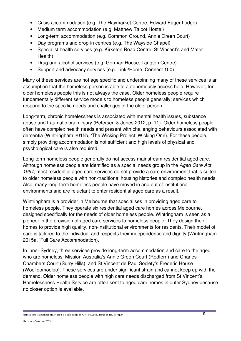- Crisis accommodation (e.g. The Haymarket Centre, Edward Eager Lodge)
- Medium term accommodation (e.g. Matthew Talbot Hostel)
- Long-term accommodation (e.g. Common Ground, Annie Green Court)
- Day programs and drop-in centres (e.g. The Wayside Chapel)
- Specialist health services (e.g. Kirketon Road Centre, St Vincent's and Mater Health)
- Drug and alcohol services (e.g. Gorman House, Langton Centre)
- Support and advocacy services (e.g. Link2Home, Connect 100)

Many of these services are not age specific and underpinning many of these services is an assumption that the homeless person is able to autonomously access help. However, for older homeless people this is not always the case. Older homeless people require fundamentally different service models to homeless people generally; services which respond to the specific needs and challenges of the older person.

Long-term, chronic homelessness is associated with mental health issues, substance abuse and traumatic brain injury (Petersen & Jones 2012, p. 11). Older homeless people often have complex health needs and present with challenging behaviours associated with dementia (Wintringham 2015b, 'The Wicking Project: Wicking One). For these people, simply providing accommodation is not sufficient and high levels of physical and psychological care is also required.

Long-term homeless people generally do not access mainstream residential aged care. Although homeless people are identified as a special needs group in the *Aged Care Act 1997*, most residential aged care services do not provide a care environment that is suited to older homeless people with non-traditional housing histories and complex health needs. Also, many long-term homeless people have moved in and out of institutional environments and are reluctant to enter residential aged care as a result.

Wintringham is a provider in Melbourne that specialises in providing aged care to homeless people. They operate six residential aged care homes across Melbourne, designed specifically for the needs of older homeless people. Wintringham is seen as a pioneer in the provision of aged care services to homeless people. They design their homes to provide high quality, non-institutional environments for residents. Their model of care is tailored to the individual and respects their independence and dignity (Wintringham 2015a, 'Full Care Accommodation).

In inner Sydney, three services provide long-term accommodation and care to the aged who are homeless: Mission Australia's Annie Green Court (Redfern) and Charles Chambers Court (Surry Hills), and St Vincent de Paul Society's Frederic House (Woolloomooloo). These services are under significant strain and cannot keep up with the demand. Older homeless people with high care needs discharged from St Vincent's Homelessness Health Service are often sent to aged care homes in outer Sydney because no closer option is available.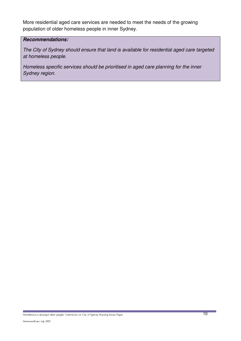More residential aged care services are needed to meet the needs of the growing population of older homeless people in inner Sydney.

#### **Recommendations:**

*The City of Sydney should ensure that land is available for residential aged care targeted at homeless people.* 

*Homeless specific services should be prioritised in aged care planning for the inner Sydney region.*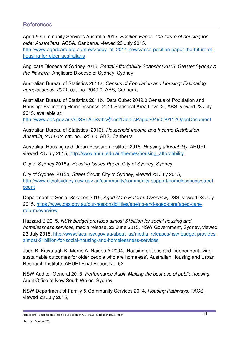## **References**

Aged & Community Services Australia 2015, *Position Paper: The future of housing for older Australians*, ACSA, Canberra, viewed 23 July 2015,

http://www.agedcare.org.au/news/copy\_of\_2014-news/acsa-position-paper-the-future-ofhousing-for-older-australians

Anglicare Diocese of Sydney 2015, *Rental Affordability Snapshot 2015: Greater Sydney & the Illawarra*, Anglicare Diocese of Sydney, Sydney

Australian Bureau of Statistics 2011a, *Census of Population and Housing: Estimating homelessness, 2011*, cat. no. 2049.0, ABS, Canberra

Australian Bureau of Statistics 2011b, 'Data Cube: 2049.0 Census of Population and Housing: Estimating Homelessness\_2011 Statistical Area Level 2', ABS, viewed 23 July 2015, available at:

http://www.abs.gov.au/AUSSTATS/abs@.nsf/DetailsPage/2049.02011?OpenDocument

Australian Bureau of Statistics (2013), *Household Income and Income Distribution Australia, 2011-12*, cat. no. 6253.0, ABS, Canberra

Australian Housing and Urban Research Institute 2015, *Housing affordability*, AHURI, viewed 23 July 2015, http://www.ahuri.edu.au/themes/housing\_affordability

City of Sydney 2015a, *Housing Issues Paper*, City of Sydney, Sydney

City of Sydney 2015b, *Street Count*, City of Sydney, viewed 23 July 2015, http://www.cityofsydney.nsw.gov.au/community/community-support/homelessness/street**count** 

Department of Social Services 2015, *Aged Care Reform: Overview*, DSS, viewed 23 July 2015, https://www.dss.gov.au/our-responsibilities/ageing-and-aged-care/aged-carereform/overview

Hazzard B 2015, *NSW budget provides almost \$1billion for social housing and homelessness services*, media release, 23 June 2015, NSW Government, Sydney, viewed 23 July 2015, http://www.facs.nsw.gov.au/about\_us/media\_releases/nsw-budget-providesalmost-\$1billion-for-social-housing-and-homelessness-services

Judd B, Kavanagh K, Morris A, Naidoo Y 2004, 'Housing options and independent living: sustainable outcomes for older people who are homeless', Australian Housing and Urban Research Institute, AHURI Final Report No. 62

NSW Auditor-General 2013, *Performance Audit: Making the best use of public housing*, Audit Office of New South Wales, Sydney

NSW Department of Family & Community Services 2014, *Housing Pathways*, FACS, viewed 23 July 2015,

noncoloures amongst each people, sabilished on city of syahey measing issues rape.